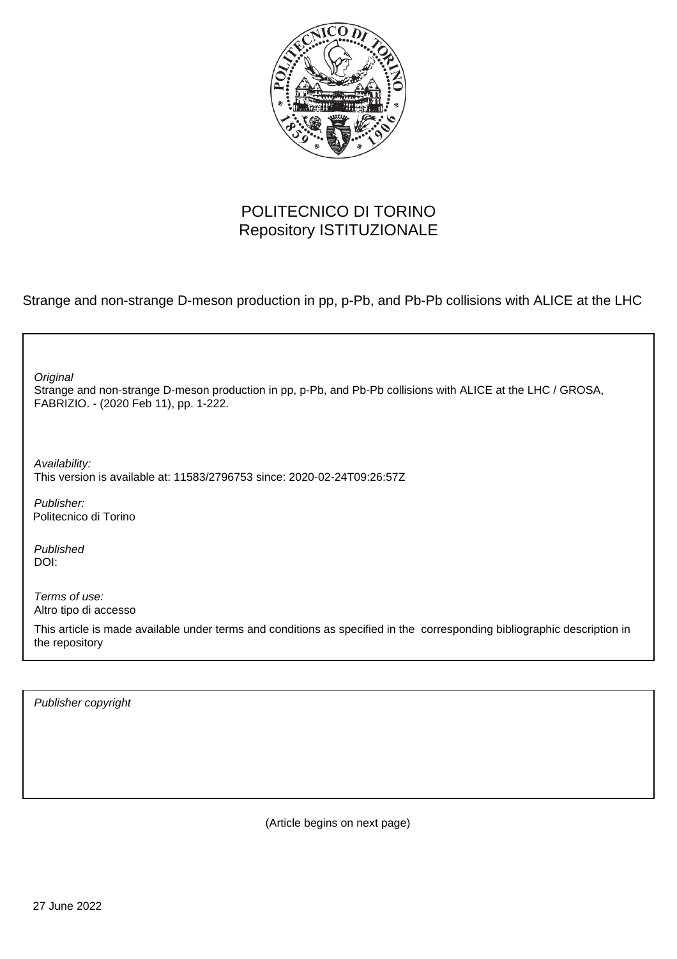

## POLITECNICO DI TORINO Repository ISTITUZIONALE

Strange and non-strange D-meson production in pp, p-Pb, and Pb-Pb collisions with ALICE at the LHC

| Original<br>Strange and non-strange D-meson production in pp, p-Pb, and Pb-Pb collisions with ALICE at the LHC / GROSA,<br>FABRIZIO. - (2020 Feb 11), pp. 1-222. |
|------------------------------------------------------------------------------------------------------------------------------------------------------------------|
| Availability:<br>This version is available at: 11583/2796753 since: 2020-02-24T09:26:57Z                                                                         |
| Publisher:<br>Politecnico di Torino                                                                                                                              |
| Published<br>DOI:                                                                                                                                                |
| Terms of use:<br>Altro tipo di accesso                                                                                                                           |
| This article is made available under terms and conditions as specified in the corresponding bibliographic description in<br>the repository                       |
|                                                                                                                                                                  |

Publisher copyright

(Article begins on next page)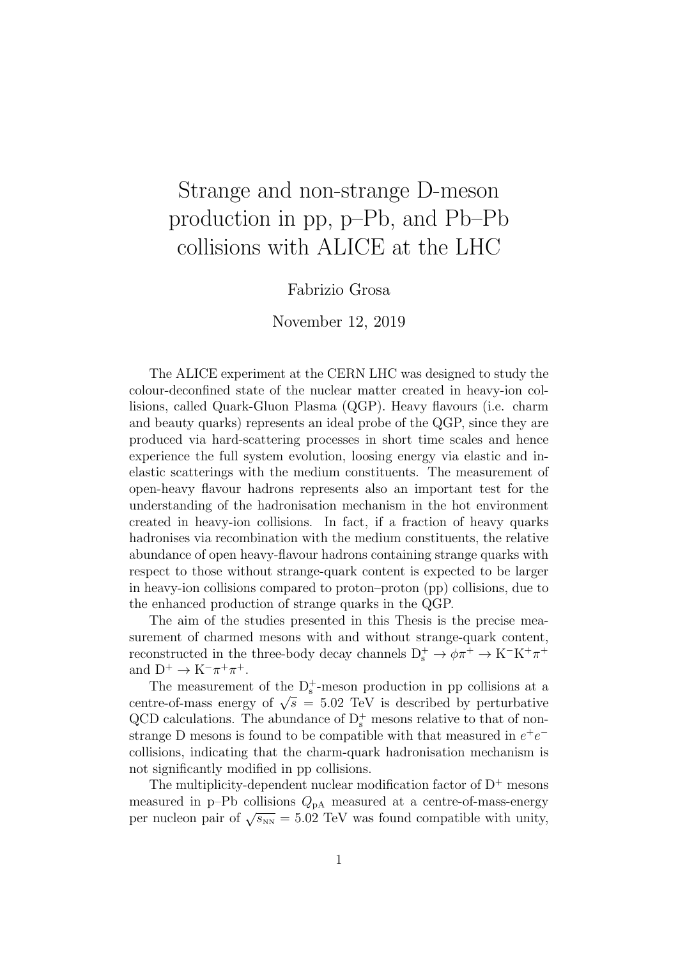# Strange and non-strange D-meson production in pp, p–Pb, and Pb–Pb collisions with ALICE at the LHC

#### Fabrizio Grosa

#### November 12, 2019

The ALICE experiment at the CERN LHC was designed to study the colour-deconfined state of the nuclear matter created in heavy-ion collisions, called Quark-Gluon Plasma (QGP). Heavy flavours (i.e. charm and beauty quarks) represents an ideal probe of the QGP, since they are produced via hard-scattering processes in short time scales and hence experience the full system evolution, loosing energy via elastic and inelastic scatterings with the medium constituents. The measurement of open-heavy flavour hadrons represents also an important test for the understanding of the hadronisation mechanism in the hot environment created in heavy-ion collisions. In fact, if a fraction of heavy quarks hadronises via recombination with the medium constituents, the relative abundance of open heavy-flavour hadrons containing strange quarks with respect to those without strange-quark content is expected to be larger in heavy-ion collisions compared to proton–proton (pp) collisions, due to the enhanced production of strange quarks in the QGP.

The aim of the studies presented in this Thesis is the precise measurement of charmed mesons with and without strange-quark content, reconstructed in the three-body decay channels  $D_s^+ \to \phi \pi^+ \to K^- K^+ \pi^+$ and  $D^+ \to K^-\pi^+\pi^+$ .

The measurement of the  $D_s^+$ -meson production in pp collisions at a centre-of-mass energy of  $\sqrt{s}$  = 5.02 TeV is described by perturbative QCD calculations. The abundance of  $D_s^+$  mesons relative to that of nonstrange D mesons is found to be compatible with that measured in  $e^+e^$ collisions, indicating that the charm-quark hadronisation mechanism is not significantly modified in pp collisions.

The multiplicity-dependent nuclear modification factor of  $D^+$  mesons measured in p–Pb collisions  $Q_{pA}$  measured at a centre-of-mass-energy per nucleon pair of  $\sqrt{s_{NN}} = 5.02$  TeV was found compatible with unity,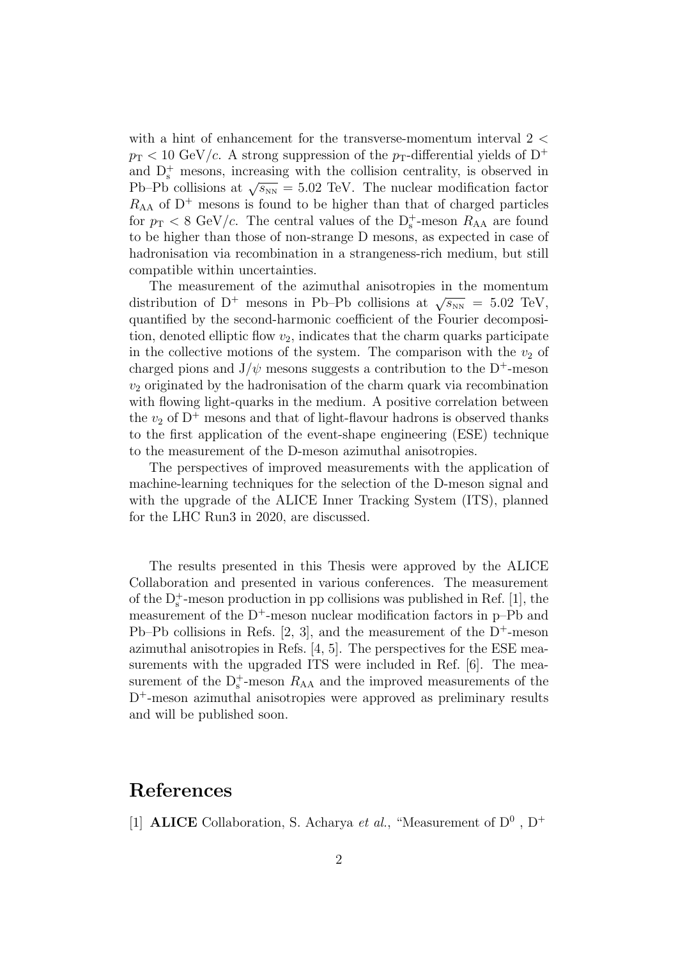with a hint of enhancement for the transverse-momentum interval 2 *<*  $p_T < 10 \text{ GeV}/c$ . A strong suppression of the  $p_T$ -differential yields of D<sup>+</sup> and  $D_s^+$  mesons, increasing with the collision centrality, is observed in Pb–Pb collisions at  $\sqrt{s_{NN}} = 5.02$  TeV. The nuclear modification factor  $R_{AA}$  of  $D^+$  mesons is found to be higher than that of charged particles for  $p_T < 8$  GeV/c. The central values of the  $D_s^+$ -meson  $R_{AA}$  are found to be higher than those of non-strange D mesons, as expected in case of hadronisation via recombination in a strangeness-rich medium, but still compatible within uncertainties.

The measurement of the azimuthal anisotropies in the momentum distribution of D<sup>+</sup> mesons in Pb–Pb collisions at  $\sqrt{s_{NN}} = 5.02$  TeV, quantified by the second-harmonic coefficient of the Fourier decomposition, denoted elliptic flow  $v_2$ , indicates that the charm quarks participate in the collective motions of the system. The comparison with the  $v_2$  of charged pions and  $J/\psi$  mesons suggests a contribution to the D<sup>+</sup>-meson *v*<sup>2</sup> originated by the hadronisation of the charm quark via recombination with flowing light-quarks in the medium. A positive correlation between the  $v_2$  of  $D^+$  mesons and that of light-flavour hadrons is observed thanks to the first application of the event-shape engineering (ESE) technique to the measurement of the D-meson azimuthal anisotropies.

The perspectives of improved measurements with the application of machine-learning techniques for the selection of the D-meson signal and with the upgrade of the ALICE Inner Tracking System (ITS), planned for the LHC Run3 in 2020, are discussed.

The results presented in this Thesis were approved by the ALICE Collaboration and presented in various conferences. The measurement of the  $D_s^+$ -meson production in pp collisions was published in Ref. [1], the measurement of the  $D^+$ -meson nuclear modification factors in p–Pb and Pb–Pb collisions in Refs. [2, 3], and the measurement of the  $D^+$ -meson azimuthal anisotropies in Refs. [4, 5]. The perspectives for the ESE measurements with the upgraded ITS were included in Ref. [6]. The measurement of the  $D_s^+$ -meson  $R_{AA}$  and the improved measurements of the  $D^+$ -meson azimuthal anisotropies were approved as preliminary results and will be published soon.

### References

[1] **ALICE** Collaboration, S. Acharya *et al.*, "Measurement of  $D^0$ ,  $D^+$